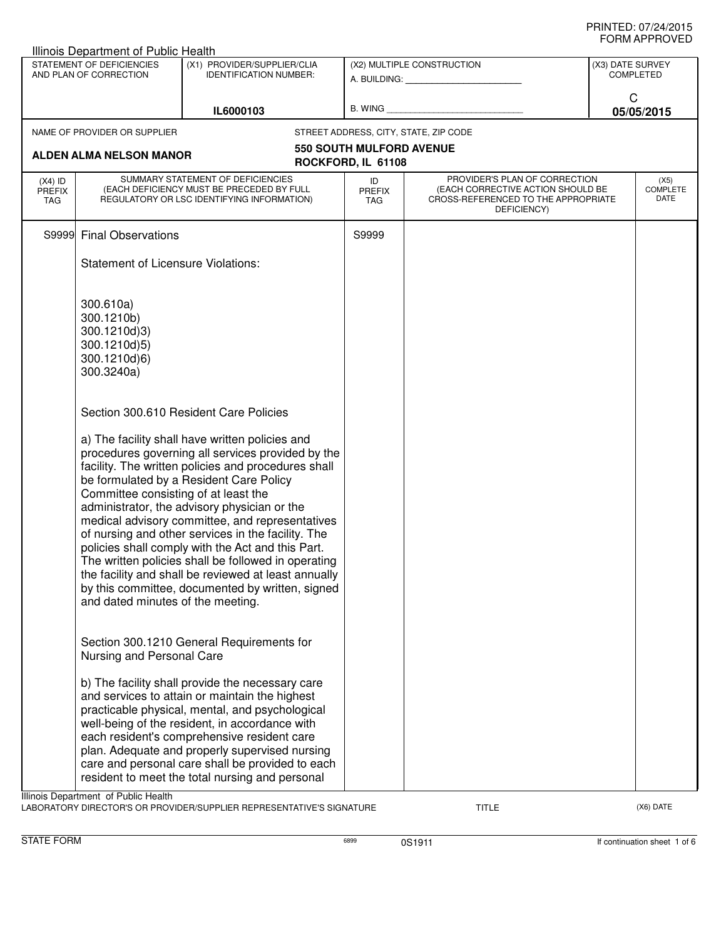|                                   | Illinois Department of Public Health                                                                                                                                                            |                                                                                                                                                                                                                                                                                                                                                                                                                                                                                                                                                                                                                                                                                |                                                         |                                                                                                                          |                                      |                                 |
|-----------------------------------|-------------------------------------------------------------------------------------------------------------------------------------------------------------------------------------------------|--------------------------------------------------------------------------------------------------------------------------------------------------------------------------------------------------------------------------------------------------------------------------------------------------------------------------------------------------------------------------------------------------------------------------------------------------------------------------------------------------------------------------------------------------------------------------------------------------------------------------------------------------------------------------------|---------------------------------------------------------|--------------------------------------------------------------------------------------------------------------------------|--------------------------------------|---------------------------------|
|                                   | STATEMENT OF DEFICIENCIES<br>AND PLAN OF CORRECTION                                                                                                                                             | (X1) PROVIDER/SUPPLIER/CLIA<br><b>IDENTIFICATION NUMBER:</b>                                                                                                                                                                                                                                                                                                                                                                                                                                                                                                                                                                                                                   | (X2) MULTIPLE CONSTRUCTION<br>A. BUILDING: A. BUILDING: |                                                                                                                          | (X3) DATE SURVEY<br><b>COMPLETED</b> |                                 |
|                                   |                                                                                                                                                                                                 | IL6000103                                                                                                                                                                                                                                                                                                                                                                                                                                                                                                                                                                                                                                                                      | B. WING                                                 |                                                                                                                          | C                                    | 05/05/2015                      |
|                                   | NAME OF PROVIDER OR SUPPLIER                                                                                                                                                                    |                                                                                                                                                                                                                                                                                                                                                                                                                                                                                                                                                                                                                                                                                |                                                         | STREET ADDRESS, CITY, STATE, ZIP CODE                                                                                    |                                      |                                 |
|                                   |                                                                                                                                                                                                 |                                                                                                                                                                                                                                                                                                                                                                                                                                                                                                                                                                                                                                                                                | 550 SOUTH MULFORD AVENUE                                |                                                                                                                          |                                      |                                 |
|                                   | <b>ALDEN ALMA NELSON MANOR</b>                                                                                                                                                                  |                                                                                                                                                                                                                                                                                                                                                                                                                                                                                                                                                                                                                                                                                | ROCKFORD, IL 61108                                      |                                                                                                                          |                                      |                                 |
| $(X4)$ ID<br><b>PREFIX</b><br>TAG |                                                                                                                                                                                                 | SUMMARY STATEMENT OF DEFICIENCIES<br>(EACH DEFICIENCY MUST BE PRECEDED BY FULL<br>REGULATORY OR LSC IDENTIFYING INFORMATION)                                                                                                                                                                                                                                                                                                                                                                                                                                                                                                                                                   | ID<br><b>PREFIX</b><br><b>TAG</b>                       | PROVIDER'S PLAN OF CORRECTION<br>(EACH CORRECTIVE ACTION SHOULD BE<br>CROSS-REFERENCED TO THE APPROPRIATE<br>DEFICIENCY) |                                      | (X5)<br><b>COMPLETE</b><br>DATE |
| S9999                             | <b>Final Observations</b>                                                                                                                                                                       |                                                                                                                                                                                                                                                                                                                                                                                                                                                                                                                                                                                                                                                                                | S9999                                                   |                                                                                                                          |                                      |                                 |
|                                   | <b>Statement of Licensure Violations:</b>                                                                                                                                                       |                                                                                                                                                                                                                                                                                                                                                                                                                                                                                                                                                                                                                                                                                |                                                         |                                                                                                                          |                                      |                                 |
|                                   | 300.610a)<br>300.1210b)<br>300.1210d)3)<br>300.1210d)5)<br>300.1210d)6)<br>300.3240a)<br>Committee consisting of at least the<br>and dated minutes of the meeting.<br>Nursing and Personal Care | Section 300.610 Resident Care Policies<br>a) The facility shall have written policies and<br>procedures governing all services provided by the<br>facility. The written policies and procedures shall<br>be formulated by a Resident Care Policy<br>administrator, the advisory physician or the<br>medical advisory committee, and representatives<br>of nursing and other services in the facility. The<br>policies shall comply with the Act and this Part.<br>The written policies shall be followed in operating<br>the facility and shall be reviewed at least annually<br>by this committee, documented by written, signed<br>Section 300.1210 General Requirements for |                                                         |                                                                                                                          |                                      |                                 |
|                                   |                                                                                                                                                                                                 | b) The facility shall provide the necessary care<br>and services to attain or maintain the highest<br>practicable physical, mental, and psychological<br>well-being of the resident, in accordance with<br>each resident's comprehensive resident care<br>plan. Adequate and properly supervised nursing<br>care and personal care shall be provided to each<br>resident to meet the total nursing and personal                                                                                                                                                                                                                                                                |                                                         |                                                                                                                          |                                      |                                 |
|                                   | Illinois Department of Public Health                                                                                                                                                            |                                                                                                                                                                                                                                                                                                                                                                                                                                                                                                                                                                                                                                                                                |                                                         |                                                                                                                          |                                      |                                 |

LABORATORY DIRECTOR'S OR PROVIDER/SUPPLIER REPRESENTATIVE'S SIGNATURE TITLE TITLE THE CONSERVATION OF THE CONST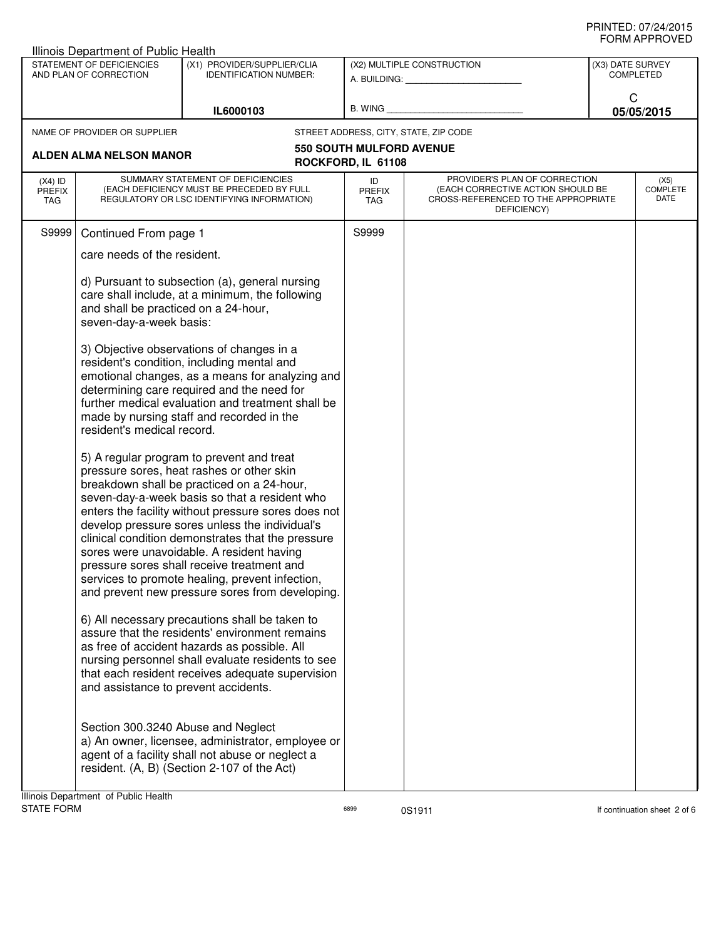| Illinois Department of Public Health |                                                                                                                                                                                                                                                                                                                                                                                                                                                                                                                                                      |                                                                                                                                                                                                                                                                                            |                                                         |                                                                                                                          |                                 |  |
|--------------------------------------|------------------------------------------------------------------------------------------------------------------------------------------------------------------------------------------------------------------------------------------------------------------------------------------------------------------------------------------------------------------------------------------------------------------------------------------------------------------------------------------------------------------------------------------------------|--------------------------------------------------------------------------------------------------------------------------------------------------------------------------------------------------------------------------------------------------------------------------------------------|---------------------------------------------------------|--------------------------------------------------------------------------------------------------------------------------|---------------------------------|--|
|                                      | STATEMENT OF DEFICIENCIES<br>AND PLAN OF CORRECTION                                                                                                                                                                                                                                                                                                                                                                                                                                                                                                  | (X1) PROVIDER/SUPPLIER/CLIA<br><b>IDENTIFICATION NUMBER:</b>                                                                                                                                                                                                                               | (X2) MULTIPLE CONSTRUCTION<br>A. BUILDING: A. BUILDING: |                                                                                                                          | (X3) DATE SURVEY<br>COMPLETED   |  |
|                                      |                                                                                                                                                                                                                                                                                                                                                                                                                                                                                                                                                      | IL6000103                                                                                                                                                                                                                                                                                  | B. WING                                                 |                                                                                                                          | C<br>05/05/2015                 |  |
|                                      | NAME OF PROVIDER OR SUPPLIER                                                                                                                                                                                                                                                                                                                                                                                                                                                                                                                         |                                                                                                                                                                                                                                                                                            |                                                         | STREET ADDRESS, CITY, STATE, ZIP CODE                                                                                    |                                 |  |
|                                      | <b>ALDEN ALMA NELSON MANOR</b>                                                                                                                                                                                                                                                                                                                                                                                                                                                                                                                       |                                                                                                                                                                                                                                                                                            | <b>550 SOUTH MULFORD AVENUE</b><br>ROCKFORD, IL 61108   |                                                                                                                          |                                 |  |
| $(X4)$ ID<br><b>PREFIX</b><br>TAG    |                                                                                                                                                                                                                                                                                                                                                                                                                                                                                                                                                      | SUMMARY STATEMENT OF DEFICIENCIES<br>(EACH DEFICIENCY MUST BE PRECEDED BY FULL<br>REGULATORY OR LSC IDENTIFYING INFORMATION)                                                                                                                                                               | ID<br>PREFIX<br><b>TAG</b>                              | PROVIDER'S PLAN OF CORRECTION<br>(EACH CORRECTIVE ACTION SHOULD BE<br>CROSS-REFERENCED TO THE APPROPRIATE<br>DEFICIENCY) | (X5)<br><b>COMPLETE</b><br>DATE |  |
| S9999                                | Continued From page 1                                                                                                                                                                                                                                                                                                                                                                                                                                                                                                                                |                                                                                                                                                                                                                                                                                            | S9999                                                   |                                                                                                                          |                                 |  |
|                                      | care needs of the resident.                                                                                                                                                                                                                                                                                                                                                                                                                                                                                                                          |                                                                                                                                                                                                                                                                                            |                                                         |                                                                                                                          |                                 |  |
|                                      | and shall be practiced on a 24-hour,<br>seven-day-a-week basis:                                                                                                                                                                                                                                                                                                                                                                                                                                                                                      | d) Pursuant to subsection (a), general nursing<br>care shall include, at a minimum, the following                                                                                                                                                                                          |                                                         |                                                                                                                          |                                 |  |
|                                      | resident's medical record.                                                                                                                                                                                                                                                                                                                                                                                                                                                                                                                           | 3) Objective observations of changes in a<br>resident's condition, including mental and<br>emotional changes, as a means for analyzing and<br>determining care required and the need for<br>further medical evaluation and treatment shall be<br>made by nursing staff and recorded in the |                                                         |                                                                                                                          |                                 |  |
|                                      | 5) A regular program to prevent and treat<br>pressure sores, heat rashes or other skin<br>breakdown shall be practiced on a 24-hour,<br>seven-day-a-week basis so that a resident who<br>enters the facility without pressure sores does not<br>develop pressure sores unless the individual's<br>clinical condition demonstrates that the pressure<br>sores were unavoidable. A resident having<br>pressure sores shall receive treatment and<br>services to promote healing, prevent infection,<br>and prevent new pressure sores from developing. |                                                                                                                                                                                                                                                                                            |                                                         |                                                                                                                          |                                 |  |
|                                      | and assistance to prevent accidents.                                                                                                                                                                                                                                                                                                                                                                                                                                                                                                                 | 6) All necessary precautions shall be taken to<br>assure that the residents' environment remains<br>as free of accident hazards as possible. All<br>nursing personnel shall evaluate residents to see<br>that each resident receives adequate supervision                                  |                                                         |                                                                                                                          |                                 |  |
|                                      | Section 300.3240 Abuse and Neglect                                                                                                                                                                                                                                                                                                                                                                                                                                                                                                                   | a) An owner, licensee, administrator, employee or<br>agent of a facility shall not abuse or neglect a<br>resident. (A, B) (Section 2-107 of the Act)                                                                                                                                       |                                                         |                                                                                                                          |                                 |  |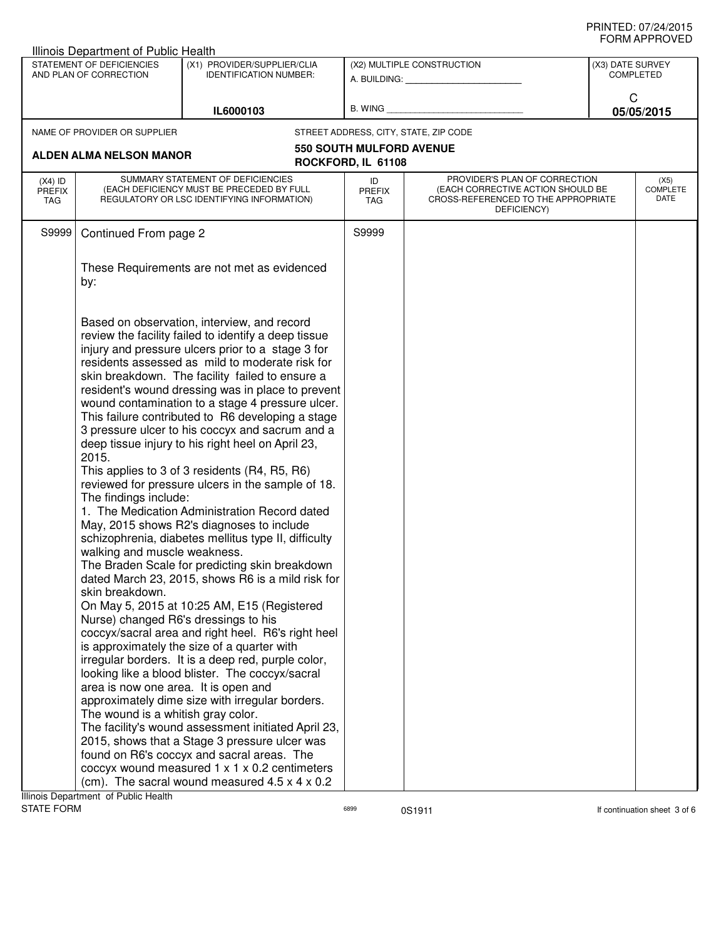| Illinois Department of Public Health                                                                                    |                                                                                                                                                                                                                                                                                                                                                                                                                                                                                                                                                                                                                                                                                                                                                                                                                                                                                                                                                                                                                                                                                                                                                                                                                                                                                                                                                                                                                                                                                                                                                                                         |                                 |                                                                                                                          |                                      |                                 |
|-------------------------------------------------------------------------------------------------------------------------|-----------------------------------------------------------------------------------------------------------------------------------------------------------------------------------------------------------------------------------------------------------------------------------------------------------------------------------------------------------------------------------------------------------------------------------------------------------------------------------------------------------------------------------------------------------------------------------------------------------------------------------------------------------------------------------------------------------------------------------------------------------------------------------------------------------------------------------------------------------------------------------------------------------------------------------------------------------------------------------------------------------------------------------------------------------------------------------------------------------------------------------------------------------------------------------------------------------------------------------------------------------------------------------------------------------------------------------------------------------------------------------------------------------------------------------------------------------------------------------------------------------------------------------------------------------------------------------------|---------------------------------|--------------------------------------------------------------------------------------------------------------------------|--------------------------------------|---------------------------------|
| STATEMENT OF DEFICIENCIES<br>AND PLAN OF CORRECTION                                                                     | (X1) PROVIDER/SUPPLIER/CLIA<br><b>IDENTIFICATION NUMBER:</b>                                                                                                                                                                                                                                                                                                                                                                                                                                                                                                                                                                                                                                                                                                                                                                                                                                                                                                                                                                                                                                                                                                                                                                                                                                                                                                                                                                                                                                                                                                                            |                                 | (X2) MULTIPLE CONSTRUCTION<br>A. BUILDING: A. BUILDING:                                                                  | (X3) DATE SURVEY<br><b>COMPLETED</b> |                                 |
|                                                                                                                         | IL6000103                                                                                                                                                                                                                                                                                                                                                                                                                                                                                                                                                                                                                                                                                                                                                                                                                                                                                                                                                                                                                                                                                                                                                                                                                                                                                                                                                                                                                                                                                                                                                                               | B. WING                         |                                                                                                                          | C<br>05/05/2015                      |                                 |
| NAME OF PROVIDER OR SUPPLIER                                                                                            |                                                                                                                                                                                                                                                                                                                                                                                                                                                                                                                                                                                                                                                                                                                                                                                                                                                                                                                                                                                                                                                                                                                                                                                                                                                                                                                                                                                                                                                                                                                                                                                         |                                 | STREET ADDRESS, CITY, STATE, ZIP CODE                                                                                    |                                      |                                 |
|                                                                                                                         |                                                                                                                                                                                                                                                                                                                                                                                                                                                                                                                                                                                                                                                                                                                                                                                                                                                                                                                                                                                                                                                                                                                                                                                                                                                                                                                                                                                                                                                                                                                                                                                         | <b>550 SOUTH MULFORD AVENUE</b> |                                                                                                                          |                                      |                                 |
| ALDEN ALMA NELSON MANOR                                                                                                 |                                                                                                                                                                                                                                                                                                                                                                                                                                                                                                                                                                                                                                                                                                                                                                                                                                                                                                                                                                                                                                                                                                                                                                                                                                                                                                                                                                                                                                                                                                                                                                                         | ROCKFORD, IL 61108              |                                                                                                                          |                                      |                                 |
| $(X4)$ ID<br><b>PREFIX</b><br>TAG                                                                                       | SUMMARY STATEMENT OF DEFICIENCIES<br>(EACH DEFICIENCY MUST BE PRECEDED BY FULL<br>REGULATORY OR LSC IDENTIFYING INFORMATION)                                                                                                                                                                                                                                                                                                                                                                                                                                                                                                                                                                                                                                                                                                                                                                                                                                                                                                                                                                                                                                                                                                                                                                                                                                                                                                                                                                                                                                                            | ID<br>PREFIX<br><b>TAG</b>      | PROVIDER'S PLAN OF CORRECTION<br>(EACH CORRECTIVE ACTION SHOULD BE<br>CROSS-REFERENCED TO THE APPROPRIATE<br>DEFICIENCY) |                                      | (X5)<br><b>COMPLETE</b><br>DATE |
| S9999<br>Continued From page 2                                                                                          |                                                                                                                                                                                                                                                                                                                                                                                                                                                                                                                                                                                                                                                                                                                                                                                                                                                                                                                                                                                                                                                                                                                                                                                                                                                                                                                                                                                                                                                                                                                                                                                         | S9999                           |                                                                                                                          |                                      |                                 |
| by:                                                                                                                     | These Requirements are not met as evidenced                                                                                                                                                                                                                                                                                                                                                                                                                                                                                                                                                                                                                                                                                                                                                                                                                                                                                                                                                                                                                                                                                                                                                                                                                                                                                                                                                                                                                                                                                                                                             |                                 |                                                                                                                          |                                      |                                 |
| 2015.<br>The findings include:<br>walking and muscle weakness.<br>skin breakdown.<br>The wound is a whitish gray color. | Based on observation, interview, and record<br>review the facility failed to identify a deep tissue<br>injury and pressure ulcers prior to a stage 3 for<br>residents assessed as mild to moderate risk for<br>skin breakdown. The facility failed to ensure a<br>resident's wound dressing was in place to prevent<br>wound contamination to a stage 4 pressure ulcer.<br>This failure contributed to R6 developing a stage<br>3 pressure ulcer to his coccyx and sacrum and a<br>deep tissue injury to his right heel on April 23,<br>This applies to 3 of 3 residents (R4, R5, R6)<br>reviewed for pressure ulcers in the sample of 18.<br>1. The Medication Administration Record dated<br>May, 2015 shows R2's diagnoses to include<br>schizophrenia, diabetes mellitus type II, difficulty<br>The Braden Scale for predicting skin breakdown<br>dated March 23, 2015, shows R6 is a mild risk for<br>On May 5, 2015 at 10:25 AM, E15 (Registered<br>Nurse) changed R6's dressings to his<br>coccyx/sacral area and right heel. R6's right heel<br>is approximately the size of a quarter with<br>irregular borders. It is a deep red, purple color,<br>looking like a blood blister. The coccyx/sacral<br>area is now one area. It is open and<br>approximately dime size with irregular borders.<br>The facility's wound assessment initiated April 23,<br>2015, shows that a Stage 3 pressure ulcer was<br>found on R6's coccyx and sacral areas. The<br>coccyx wound measured $1 \times 1 \times 0.2$ centimeters<br>(cm). The sacral wound measured $4.5 \times 4 \times 0.2$ |                                 |                                                                                                                          |                                      |                                 |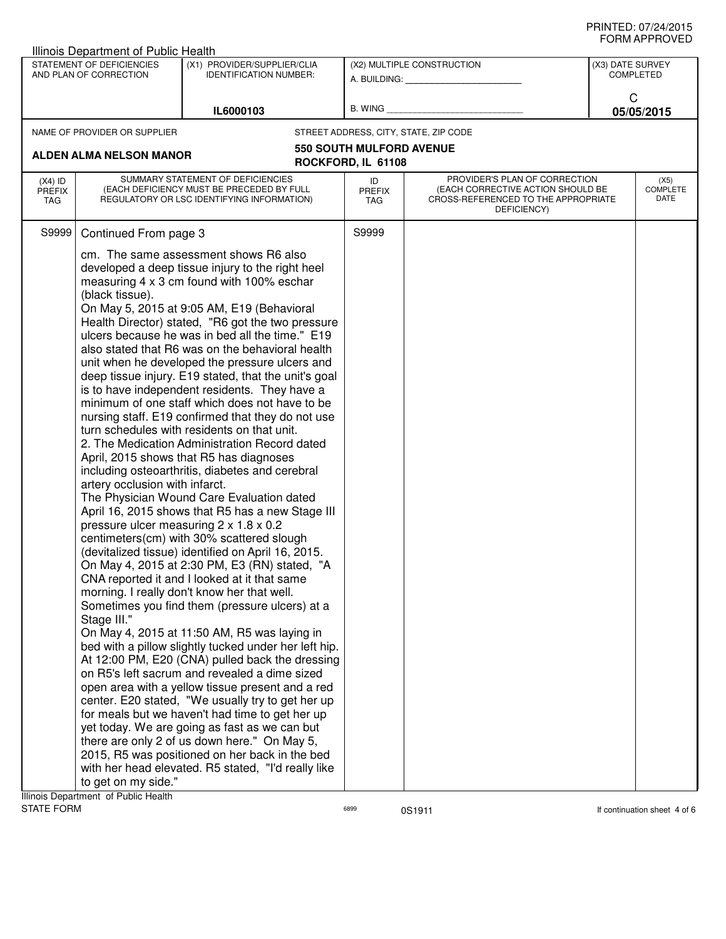|                                   | Illinois Department of Public Health                                                    |                                                                                                                                                                                                                                                                                                                                                                                                                                                                                                                                                                                                                                                                                                                                                                                                                                                                                                                                                                                                                                                                                                                                                                                                                                                                                                                                                                                                                                                                                                                                                                                                                                                                                                                                                                                                                                                     |                                 |                                                                                                                          |                                      |                                 |
|-----------------------------------|-----------------------------------------------------------------------------------------|-----------------------------------------------------------------------------------------------------------------------------------------------------------------------------------------------------------------------------------------------------------------------------------------------------------------------------------------------------------------------------------------------------------------------------------------------------------------------------------------------------------------------------------------------------------------------------------------------------------------------------------------------------------------------------------------------------------------------------------------------------------------------------------------------------------------------------------------------------------------------------------------------------------------------------------------------------------------------------------------------------------------------------------------------------------------------------------------------------------------------------------------------------------------------------------------------------------------------------------------------------------------------------------------------------------------------------------------------------------------------------------------------------------------------------------------------------------------------------------------------------------------------------------------------------------------------------------------------------------------------------------------------------------------------------------------------------------------------------------------------------------------------------------------------------------------------------------------------------|---------------------------------|--------------------------------------------------------------------------------------------------------------------------|--------------------------------------|---------------------------------|
|                                   | STATEMENT OF DEFICIENCIES<br>AND PLAN OF CORRECTION                                     | (X1) PROVIDER/SUPPLIER/CLIA<br><b>IDENTIFICATION NUMBER:</b>                                                                                                                                                                                                                                                                                                                                                                                                                                                                                                                                                                                                                                                                                                                                                                                                                                                                                                                                                                                                                                                                                                                                                                                                                                                                                                                                                                                                                                                                                                                                                                                                                                                                                                                                                                                        |                                 | (X2) MULTIPLE CONSTRUCTION<br>A. BUILDING: A. BUILDING:                                                                  | (X3) DATE SURVEY<br><b>COMPLETED</b> |                                 |
|                                   |                                                                                         | IL6000103                                                                                                                                                                                                                                                                                                                                                                                                                                                                                                                                                                                                                                                                                                                                                                                                                                                                                                                                                                                                                                                                                                                                                                                                                                                                                                                                                                                                                                                                                                                                                                                                                                                                                                                                                                                                                                           | B. WING                         |                                                                                                                          | C                                    | 05/05/2015                      |
|                                   | NAME OF PROVIDER OR SUPPLIER                                                            |                                                                                                                                                                                                                                                                                                                                                                                                                                                                                                                                                                                                                                                                                                                                                                                                                                                                                                                                                                                                                                                                                                                                                                                                                                                                                                                                                                                                                                                                                                                                                                                                                                                                                                                                                                                                                                                     |                                 | STREET ADDRESS, CITY, STATE, ZIP CODE                                                                                    |                                      |                                 |
|                                   | ALDEN ALMA NELSON MANOR                                                                 |                                                                                                                                                                                                                                                                                                                                                                                                                                                                                                                                                                                                                                                                                                                                                                                                                                                                                                                                                                                                                                                                                                                                                                                                                                                                                                                                                                                                                                                                                                                                                                                                                                                                                                                                                                                                                                                     | <b>550 SOUTH MULFORD AVENUE</b> |                                                                                                                          |                                      |                                 |
|                                   |                                                                                         |                                                                                                                                                                                                                                                                                                                                                                                                                                                                                                                                                                                                                                                                                                                                                                                                                                                                                                                                                                                                                                                                                                                                                                                                                                                                                                                                                                                                                                                                                                                                                                                                                                                                                                                                                                                                                                                     | ROCKFORD, IL 61108              |                                                                                                                          |                                      |                                 |
| $(X4)$ ID<br><b>PREFIX</b><br>TAG |                                                                                         | SUMMARY STATEMENT OF DEFICIENCIES<br>(EACH DEFICIENCY MUST BE PRECEDED BY FULL<br>REGULATORY OR LSC IDENTIFYING INFORMATION)                                                                                                                                                                                                                                                                                                                                                                                                                                                                                                                                                                                                                                                                                                                                                                                                                                                                                                                                                                                                                                                                                                                                                                                                                                                                                                                                                                                                                                                                                                                                                                                                                                                                                                                        | ID<br><b>PREFIX</b><br>TAG      | PROVIDER'S PLAN OF CORRECTION<br>(EACH CORRECTIVE ACTION SHOULD BE<br>CROSS-REFERENCED TO THE APPROPRIATE<br>DEFICIENCY) |                                      | (X5)<br><b>COMPLETE</b><br>DATE |
| S9999                             | Continued From page 3                                                                   |                                                                                                                                                                                                                                                                                                                                                                                                                                                                                                                                                                                                                                                                                                                                                                                                                                                                                                                                                                                                                                                                                                                                                                                                                                                                                                                                                                                                                                                                                                                                                                                                                                                                                                                                                                                                                                                     | S9999                           |                                                                                                                          |                                      |                                 |
|                                   | (black tissue).<br>artery occlusion with infarct.<br>Stage III."<br>to get on my side." | cm. The same assessment shows R6 also<br>developed a deep tissue injury to the right heel<br>measuring 4 x 3 cm found with 100% eschar<br>On May 5, 2015 at 9:05 AM, E19 (Behavioral<br>Health Director) stated, "R6 got the two pressure<br>ulcers because he was in bed all the time." E19<br>also stated that R6 was on the behavioral health<br>unit when he developed the pressure ulcers and<br>deep tissue injury. E19 stated, that the unit's goal<br>is to have independent residents. They have a<br>minimum of one staff which does not have to be<br>nursing staff. E19 confirmed that they do not use<br>turn schedules with residents on that unit.<br>2. The Medication Administration Record dated<br>April, 2015 shows that R5 has diagnoses<br>including osteoarthritis, diabetes and cerebral<br>The Physician Wound Care Evaluation dated<br>April 16, 2015 shows that R5 has a new Stage III<br>pressure ulcer measuring 2 x 1.8 x 0.2<br>centimeters(cm) with 30% scattered slough<br>(devitalized tissue) identified on April 16, 2015.<br>On May 4, 2015 at 2:30 PM, E3 (RN) stated, "A<br>CNA reported it and I looked at it that same<br>morning. I really don't know her that well.<br>Sometimes you find them (pressure ulcers) at a<br>On May 4, 2015 at 11:50 AM, R5 was laying in<br>bed with a pillow slightly tucked under her left hip.<br>At 12:00 PM, E20 (CNA) pulled back the dressing<br>on R5's left sacrum and revealed a dime sized<br>open area with a yellow tissue present and a red<br>center. E20 stated, "We usually try to get her up<br>for meals but we haven't had time to get her up<br>yet today. We are going as fast as we can but<br>there are only 2 of us down here." On May 5,<br>2015, R5 was positioned on her back in the bed<br>with her head elevated. R5 stated, "I'd really like |                                 |                                                                                                                          |                                      |                                 |

**Illinois Department of Public Health<br>STATE FORM**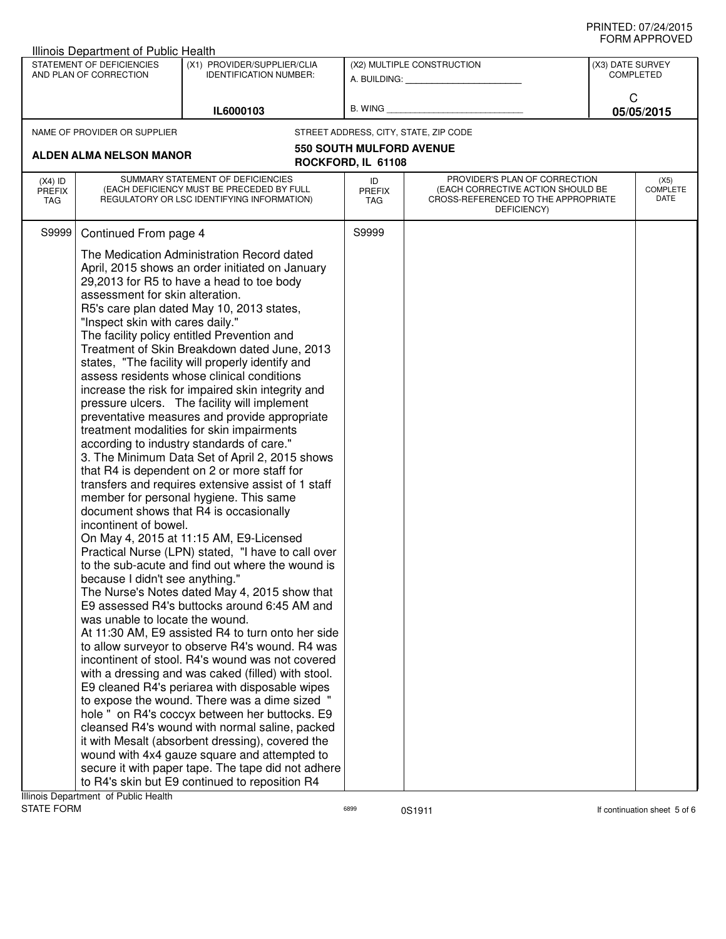| Illinois Department of Public Health |                                  |                                                                                                      |                                 |                                                    |                  |                 |
|--------------------------------------|----------------------------------|------------------------------------------------------------------------------------------------------|---------------------------------|----------------------------------------------------|------------------|-----------------|
|                                      | STATEMENT OF DEFICIENCIES        | (X1) PROVIDER/SUPPLIER/CLIA                                                                          |                                 | (X2) MULTIPLE CONSTRUCTION                         | (X3) DATE SURVEY |                 |
|                                      | AND PLAN OF CORRECTION           | <b>IDENTIFICATION NUMBER:</b>                                                                        | A. BUILDING: A. BUILDING:       |                                                    | <b>COMPLETED</b> |                 |
|                                      |                                  |                                                                                                      |                                 |                                                    | C                |                 |
|                                      |                                  | IL6000103                                                                                            | B. WING                         |                                                    | 05/05/2015       |                 |
|                                      | NAME OF PROVIDER OR SUPPLIER     |                                                                                                      |                                 | STREET ADDRESS, CITY, STATE, ZIP CODE              |                  |                 |
|                                      |                                  |                                                                                                      | <b>550 SOUTH MULFORD AVENUE</b> |                                                    |                  |                 |
|                                      | ALDEN ALMA NELSON MANOR          |                                                                                                      | ROCKFORD, IL 61108              |                                                    |                  |                 |
| $(X4)$ ID                            |                                  | SUMMARY STATEMENT OF DEFICIENCIES                                                                    | ID                              | PROVIDER'S PLAN OF CORRECTION                      |                  | (X5)            |
| <b>PREFIX</b>                        |                                  | (EACH DEFICIENCY MUST BE PRECEDED BY FULL                                                            | <b>PREFIX</b>                   | (EACH CORRECTIVE ACTION SHOULD BE                  |                  | <b>COMPLETE</b> |
| <b>TAG</b>                           |                                  | REGULATORY OR LSC IDENTIFYING INFORMATION)                                                           | <b>TAG</b>                      | CROSS-REFERENCED TO THE APPROPRIATE<br>DEFICIENCY) |                  | DATE            |
|                                      |                                  |                                                                                                      |                                 |                                                    |                  |                 |
| S9999                                | Continued From page 4            |                                                                                                      | S9999                           |                                                    |                  |                 |
|                                      |                                  | The Medication Administration Record dated                                                           |                                 |                                                    |                  |                 |
|                                      |                                  | April, 2015 shows an order initiated on January                                                      |                                 |                                                    |                  |                 |
|                                      |                                  | 29,2013 for R5 to have a head to toe body                                                            |                                 |                                                    |                  |                 |
|                                      | assessment for skin alteration.  |                                                                                                      |                                 |                                                    |                  |                 |
|                                      | "Inspect skin with cares daily." | R5's care plan dated May 10, 2013 states,                                                            |                                 |                                                    |                  |                 |
|                                      |                                  | The facility policy entitled Prevention and                                                          |                                 |                                                    |                  |                 |
|                                      |                                  | Treatment of Skin Breakdown dated June, 2013                                                         |                                 |                                                    |                  |                 |
|                                      |                                  | states, "The facility will properly identify and                                                     |                                 |                                                    |                  |                 |
|                                      |                                  | assess residents whose clinical conditions                                                           |                                 |                                                    |                  |                 |
|                                      |                                  | increase the risk for impaired skin integrity and                                                    |                                 |                                                    |                  |                 |
|                                      |                                  | pressure ulcers. The facility will implement                                                         |                                 |                                                    |                  |                 |
|                                      |                                  | preventative measures and provide appropriate<br>treatment modalities for skin impairments           |                                 |                                                    |                  |                 |
|                                      |                                  | according to industry standards of care."                                                            |                                 |                                                    |                  |                 |
|                                      |                                  | 3. The Minimum Data Set of April 2, 2015 shows                                                       |                                 |                                                    |                  |                 |
|                                      |                                  | that R4 is dependent on 2 or more staff for                                                          |                                 |                                                    |                  |                 |
|                                      |                                  | transfers and requires extensive assist of 1 staff                                                   |                                 |                                                    |                  |                 |
|                                      |                                  | member for personal hygiene. This same                                                               |                                 |                                                    |                  |                 |
|                                      | incontinent of bowel.            | document shows that R4 is occasionally                                                               |                                 |                                                    |                  |                 |
|                                      |                                  | On May 4, 2015 at 11:15 AM, E9-Licensed                                                              |                                 |                                                    |                  |                 |
|                                      |                                  | Practical Nurse (LPN) stated, "I have to call over                                                   |                                 |                                                    |                  |                 |
|                                      |                                  | to the sub-acute and find out where the wound is                                                     |                                 |                                                    |                  |                 |
|                                      | because I didn't see anything."  |                                                                                                      |                                 |                                                    |                  |                 |
|                                      |                                  | The Nurse's Notes dated May 4, 2015 show that                                                        |                                 |                                                    |                  |                 |
|                                      |                                  | E9 assessed R4's buttocks around 6:45 AM and                                                         |                                 |                                                    |                  |                 |
|                                      | was unable to locate the wound.  |                                                                                                      |                                 |                                                    |                  |                 |
|                                      |                                  | At 11:30 AM, E9 assisted R4 to turn onto her side<br>to allow surveyor to observe R4's wound. R4 was |                                 |                                                    |                  |                 |
|                                      |                                  | incontinent of stool. R4's wound was not covered                                                     |                                 |                                                    |                  |                 |
|                                      |                                  | with a dressing and was caked (filled) with stool.                                                   |                                 |                                                    |                  |                 |
|                                      |                                  | E9 cleaned R4's periarea with disposable wipes                                                       |                                 |                                                    |                  |                 |
|                                      |                                  | to expose the wound. There was a dime sized "                                                        |                                 |                                                    |                  |                 |
|                                      |                                  | hole " on R4's coccyx between her buttocks. E9                                                       |                                 |                                                    |                  |                 |
|                                      |                                  | cleansed R4's wound with normal saline, packed                                                       |                                 |                                                    |                  |                 |
|                                      |                                  | it with Mesalt (absorbent dressing), covered the<br>wound with 4x4 gauze square and attempted to     |                                 |                                                    |                  |                 |
|                                      |                                  | secure it with paper tape. The tape did not adhere                                                   |                                 |                                                    |                  |                 |
|                                      |                                  | to R4's skin but E9 continued to reposition R4                                                       |                                 |                                                    |                  |                 |
|                                      |                                  |                                                                                                      |                                 |                                                    |                  |                 |